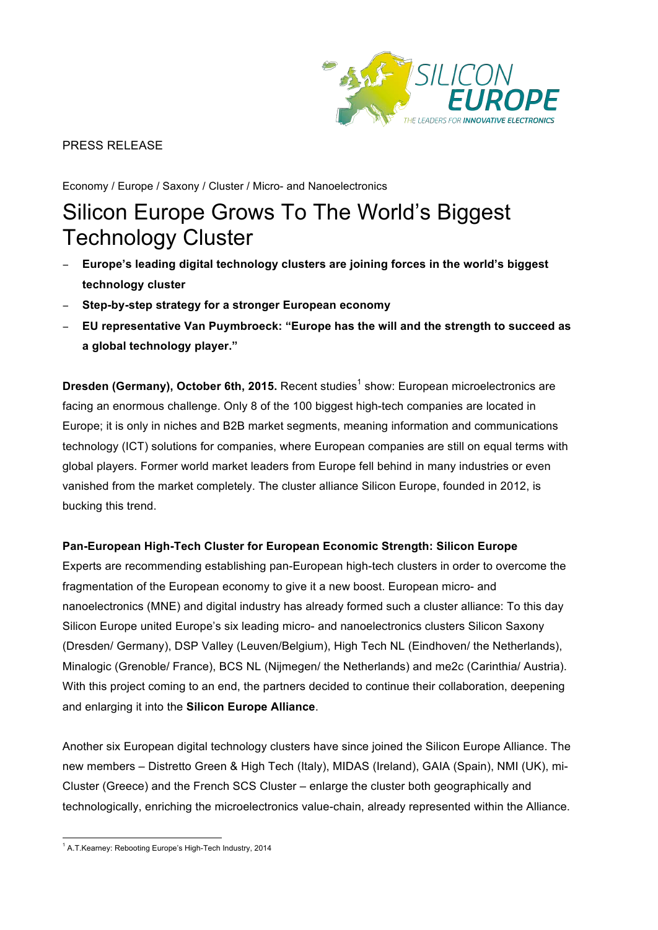

## PRESS RELEASE

Economy / Europe / Saxony / Cluster / Micro- and Nanoelectronics

# Silicon Europe Grows To The World's Biggest Technology Cluster

- − **Europe's leading digital technology clusters are joining forces in the world's biggest technology cluster**
- − **Step-by-step strategy for a stronger European economy**
- − **EU representative Van Puymbroeck: "Europe has the will and the strength to succeed as a global technology player."**

**Dresden (Germany), October 6th, 2015.** Recent studies<sup>1</sup> show: European microelectronics are facing an enormous challenge. Only 8 of the 100 biggest high-tech companies are located in Europe; it is only in niches and B2B market segments, meaning information and communications technology (ICT) solutions for companies, where European companies are still on equal terms with global players. Former world market leaders from Europe fell behind in many industries or even vanished from the market completely. The cluster alliance Silicon Europe, founded in 2012, is bucking this trend.

### **Pan-European High-Tech Cluster for European Economic Strength: Silicon Europe**

Experts are recommending establishing pan-European high-tech clusters in order to overcome the fragmentation of the European economy to give it a new boost. European micro- and nanoelectronics (MNE) and digital industry has already formed such a cluster alliance: To this day Silicon Europe united Europe's six leading micro- and nanoelectronics clusters Silicon Saxony (Dresden/ Germany), DSP Valley (Leuven/Belgium), High Tech NL (Eindhoven/ the Netherlands), Minalogic (Grenoble/ France), BCS NL (Nijmegen/ the Netherlands) and me2c (Carinthia/ Austria). With this project coming to an end, the partners decided to continue their collaboration, deepening and enlarging it into the **Silicon Europe Alliance**.

Another six European digital technology clusters have since joined the Silicon Europe Alliance. The new members – Distretto Green & High Tech (Italy), MIDAS (Ireland), GAIA (Spain), NMI (UK), mi-Cluster (Greece) and the French SCS Cluster – enlarge the cluster both geographically and technologically, enriching the microelectronics value-chain, already represented within the Alliance.

 <sup>1</sup> A.T.Kearney: Rebooting Europe's High-Tech Industry, 2014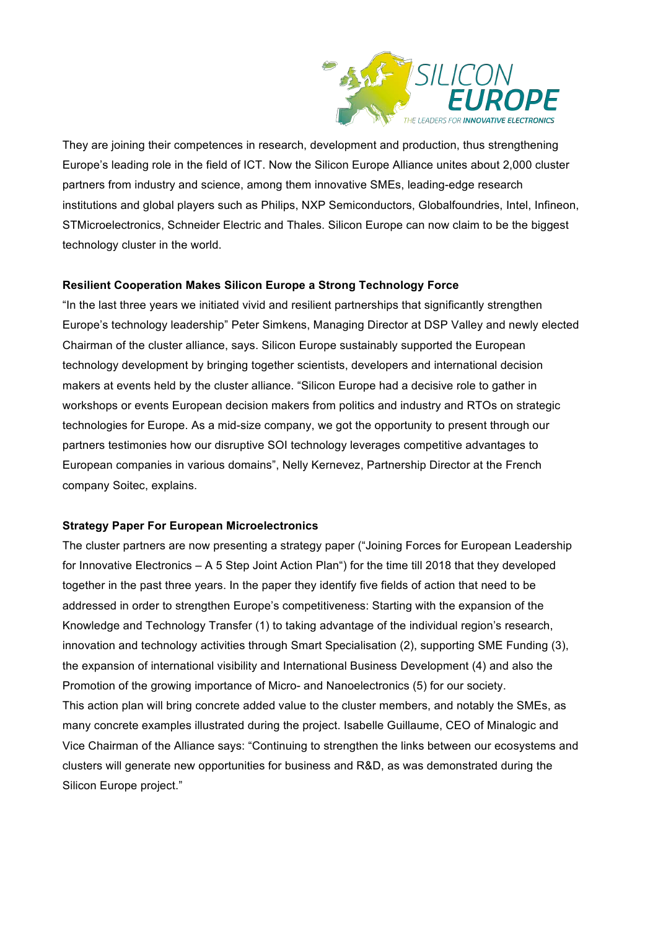

They are joining their competences in research, development and production, thus strengthening Europe's leading role in the field of ICT. Now the Silicon Europe Alliance unites about 2,000 cluster partners from industry and science, among them innovative SMEs, leading-edge research institutions and global players such as Philips, NXP Semiconductors, Globalfoundries, Intel, Infineon, STMicroelectronics, Schneider Electric and Thales, Silicon Europe can now claim to be the biggest technology cluster in the world.

#### **Resilient Cooperation Makes Silicon Europe a Strong Technology Force**

"In the last three years we initiated vivid and resilient partnerships that significantly strengthen Europe's technology leadership" Peter Simkens, Managing Director at DSP Valley and newly elected Chairman of the cluster alliance, says. Silicon Europe sustainably supported the European technology development by bringing together scientists, developers and international decision makers at events held by the cluster alliance. "Silicon Europe had a decisive role to gather in workshops or events European decision makers from politics and industry and RTOs on strategic technologies for Europe. As a mid-size company, we got the opportunity to present through our partners testimonies how our disruptive SOI technology leverages competitive advantages to European companies in various domains", Nelly Kernevez, Partnership Director at the French company Soitec, explains.

#### **Strategy Paper For European Microelectronics**

The cluster partners are now presenting a strategy paper ("Joining Forces for European Leadership for Innovative Electronics – A 5 Step Joint Action Plan") for the time till 2018 that they developed together in the past three years. In the paper they identify five fields of action that need to be addressed in order to strengthen Europe's competitiveness: Starting with the expansion of the Knowledge and Technology Transfer (1) to taking advantage of the individual region's research, innovation and technology activities through Smart Specialisation (2), supporting SME Funding (3), the expansion of international visibility and International Business Development (4) and also the Promotion of the growing importance of Micro- and Nanoelectronics (5) for our society. This action plan will bring concrete added value to the cluster members, and notably the SMEs, as many concrete examples illustrated during the project. Isabelle Guillaume, CEO of Minalogic and Vice Chairman of the Alliance says: "Continuing to strengthen the links between our ecosystems and clusters will generate new opportunities for business and R&D, as was demonstrated during the Silicon Europe project."